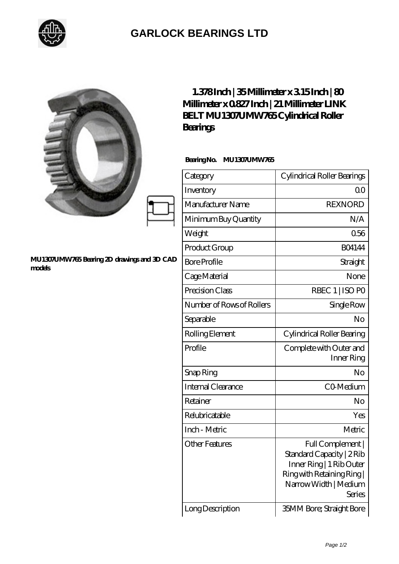

## **[GARLOCK BEARINGS LTD](https://m.letterstopriests.com)**

|                                                       | $1.378$ Inch   35Millimeter x 315Inch   80<br>Millimeter x 0827 Inch   21 Millimeter LINK<br>BELT MU1307UMW765Cylindrical Roller<br><b>Bearings</b> |                                                                                                                                          |
|-------------------------------------------------------|-----------------------------------------------------------------------------------------------------------------------------------------------------|------------------------------------------------------------------------------------------------------------------------------------------|
|                                                       | BearingNo.<br>MU1307UMW765                                                                                                                          |                                                                                                                                          |
|                                                       | Category                                                                                                                                            | Cylindrical Roller Bearings                                                                                                              |
|                                                       | Inventory                                                                                                                                           | 0 <sup>0</sup>                                                                                                                           |
|                                                       | Manufacturer Name                                                                                                                                   | <b>REXNORD</b>                                                                                                                           |
|                                                       | Minimum Buy Quantity                                                                                                                                | N/A                                                                                                                                      |
|                                                       | Weight                                                                                                                                              | 0.56                                                                                                                                     |
|                                                       | Product Group                                                                                                                                       | <b>BO4144</b>                                                                                                                            |
| MU1307UMW765 Bearing 2D drawings and 3D CAD<br>models | <b>Bore Profile</b>                                                                                                                                 | Straight                                                                                                                                 |
|                                                       | Cage Material                                                                                                                                       | None                                                                                                                                     |
|                                                       | Precision Class                                                                                                                                     | RBEC 1   ISO PO                                                                                                                          |
|                                                       | Number of Rows of Rollers                                                                                                                           | Single Row                                                                                                                               |
|                                                       | Separable                                                                                                                                           | No                                                                                                                                       |
|                                                       | Rolling Element                                                                                                                                     | Cylindrical Roller Bearing                                                                                                               |
|                                                       | Profile                                                                                                                                             | Complete with Outer and<br>Inner Ring                                                                                                    |
|                                                       | Snap Ring                                                                                                                                           | No                                                                                                                                       |
|                                                       | Internal Clearance                                                                                                                                  | CO-Medium                                                                                                                                |
|                                                       | Retainer                                                                                                                                            | No                                                                                                                                       |
|                                                       | Relubricatable                                                                                                                                      | Yes                                                                                                                                      |
|                                                       | Inch - Metric                                                                                                                                       | Metric                                                                                                                                   |
|                                                       | Other Features                                                                                                                                      | Full Complement  <br>Standard Capacity   2Rib<br>Inner Ring   1 Rib Outer<br>Ring with Retaining Ring<br>Narrow Width   Medium<br>Series |
|                                                       | Long Description                                                                                                                                    | <b>35MM Bore; Straight Bore</b>                                                                                                          |